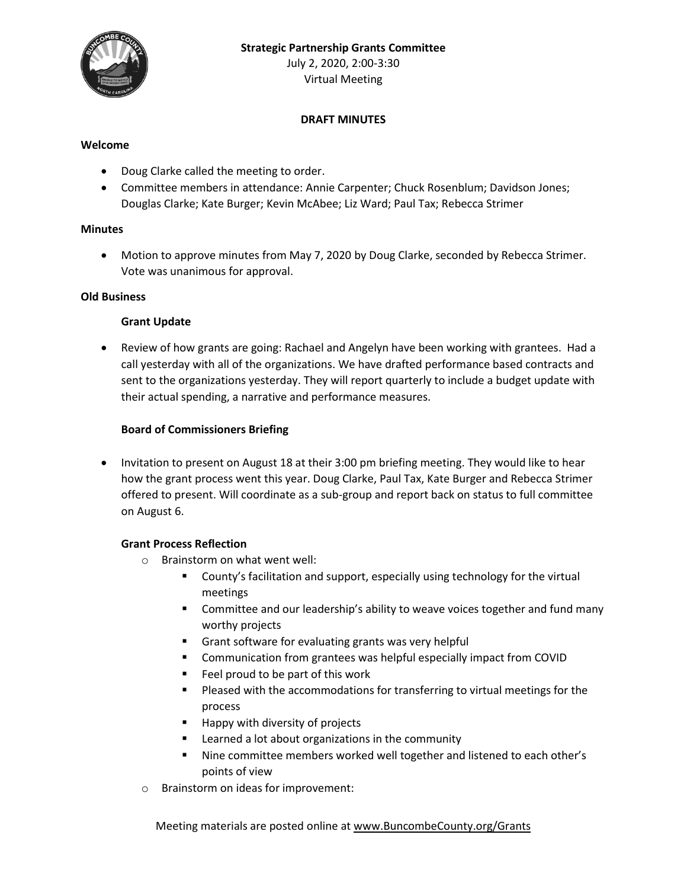

## **DRAFT MINUTES**

#### **Welcome**

- Doug Clarke called the meeting to order.
- Committee members in attendance: Annie Carpenter; Chuck Rosenblum; Davidson Jones; Douglas Clarke; Kate Burger; Kevin McAbee; Liz Ward; Paul Tax; Rebecca Strimer

#### **Minutes**

 Motion to approve minutes from May 7, 2020 by Doug Clarke, seconded by Rebecca Strimer. Vote was unanimous for approval.

#### **Old Business**

#### **Grant Update**

 Review of how grants are going: Rachael and Angelyn have been working with grantees. Had a call yesterday with all of the organizations. We have drafted performance based contracts and sent to the organizations yesterday. They will report quarterly to include a budget update with their actual spending, a narrative and performance measures.

## **Board of Commissioners Briefing**

• Invitation to present on August 18 at their 3:00 pm briefing meeting. They would like to hear how the grant process went this year. Doug Clarke, Paul Tax, Kate Burger and Rebecca Strimer offered to present. Will coordinate as a sub-group and report back on status to full committee on August 6.

## **Grant Process Reflection**

- o Brainstorm on what went well:
	- **EXECOUNTY's facilitation and support, especially using technology for the virtual** meetings
	- Committee and our leadership's ability to weave voices together and fund many worthy projects
	- Grant software for evaluating grants was very helpful
	- **E** Communication from grantees was helpful especially impact from COVID
	- $\blacksquare$  Feel proud to be part of this work
	- **Pleased with the accommodations for transferring to virtual meetings for the** process
	- Happy with diversity of projects
	- Learned a lot about organizations in the community
	- Nine committee members worked well together and listened to each other's points of view
- o Brainstorm on ideas for improvement:

Meeting materials are posted online at [www.BuncombeCounty.org/Grants](http://www.buncombecounty.org/Grants)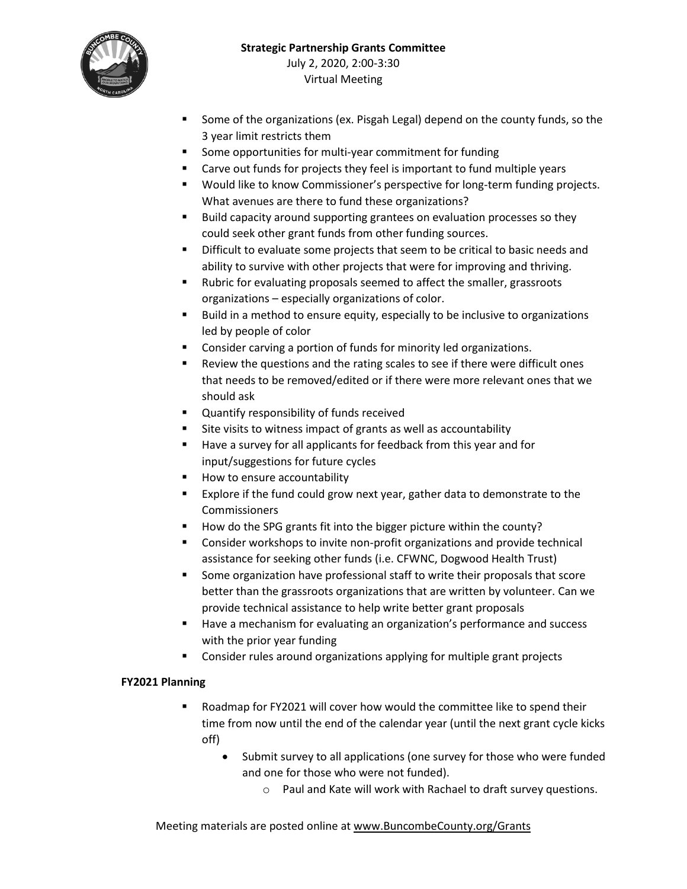

- **Some of the organizations (ex. Pisgah Legal) depend on the county funds, so the** 3 year limit restricts them
- **Some opportunities for multi-year commitment for funding**
- Carve out funds for projects they feel is important to fund multiple years
- **•** Would like to know Commissioner's perspective for long-term funding projects. What avenues are there to fund these organizations?
- Build capacity around supporting grantees on evaluation processes so they could seek other grant funds from other funding sources.
- Difficult to evaluate some projects that seem to be critical to basic needs and ability to survive with other projects that were for improving and thriving.
- Rubric for evaluating proposals seemed to affect the smaller, grassroots organizations – especially organizations of color.
- **Build in a method to ensure equity, especially to be inclusive to organizations** led by people of color
- Consider carving a portion of funds for minority led organizations.
- **EXECTE:** Review the questions and the rating scales to see if there were difficult ones that needs to be removed/edited or if there were more relevant ones that we should ask
- **Quantify responsibility of funds received**
- Site visits to witness impact of grants as well as accountability
- Have a survey for all applicants for feedback from this year and for input/suggestions for future cycles
- How to ensure accountability
- Explore if the fund could grow next year, gather data to demonstrate to the Commissioners
- How do the SPG grants fit into the bigger picture within the county?
- Consider workshops to invite non-profit organizations and provide technical assistance for seeking other funds (i.e. CFWNC, Dogwood Health Trust)
- Some organization have professional staff to write their proposals that score better than the grassroots organizations that are written by volunteer. Can we provide technical assistance to help write better grant proposals
- Have a mechanism for evaluating an organization's performance and success with the prior year funding
- **EXP** Consider rules around organizations applying for multiple grant projects

# **FY2021 Planning**

- Roadmap for FY2021 will cover how would the committee like to spend their time from now until the end of the calendar year (until the next grant cycle kicks off)
	- Submit survey to all applications (one survey for those who were funded and one for those who were not funded).
		- o Paul and Kate will work with Rachael to draft survey questions.

Meeting materials are posted online at [www.BuncombeCounty.org/Grants](http://www.buncombecounty.org/Grants)